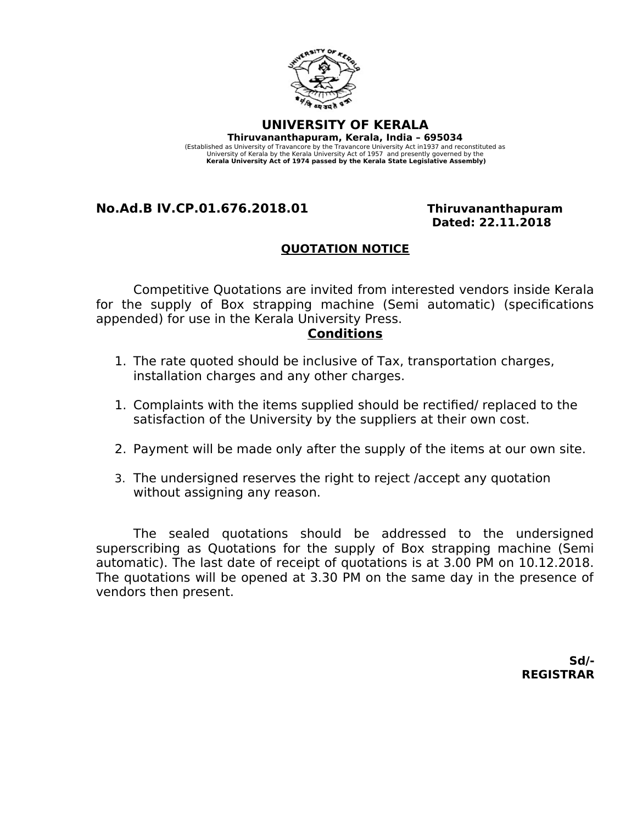

**UNIVERSITY OF KERALA Thiruvananthapuram, Kerala, India – 695034**  (Established as University of Travancore by the Travancore University Act in1937 and reconstituted as University of Kerala by the Kerala University Act of 1957 and presently governed by the **Kerala University Act of 1974 passed by the Kerala State Legislative Assembly)**

# **No.Ad.B IV.CP.01.676.2018.01 Thiruvananthapuram**

 **Dated: 22.11.2018**

## **QUOTATION NOTICE**

Competitive Quotations are invited from interested vendors inside Kerala for the supply of Box strapping machine (Semi automatic) (specifications appended) for use in the Kerala University Press.

### **Conditions**

- 1. The rate quoted should be inclusive of Tax, transportation charges, installation charges and any other charges.
- 1. Complaints with the items supplied should be rectified/ replaced to the satisfaction of the University by the suppliers at their own cost.
- 2. Payment will be made only after the supply of the items at our own site.
- 3. The undersigned reserves the right to reject /accept any quotation without assigning any reason.

The sealed quotations should be addressed to the undersigned superscribing as Quotations for the supply of Box strapping machine (Semi automatic). The last date of receipt of quotations is at 3.00 PM on 10.12.2018. The quotations will be opened at 3.30 PM on the same day in the presence of vendors then present.

> **Sd/- REGISTRAR**